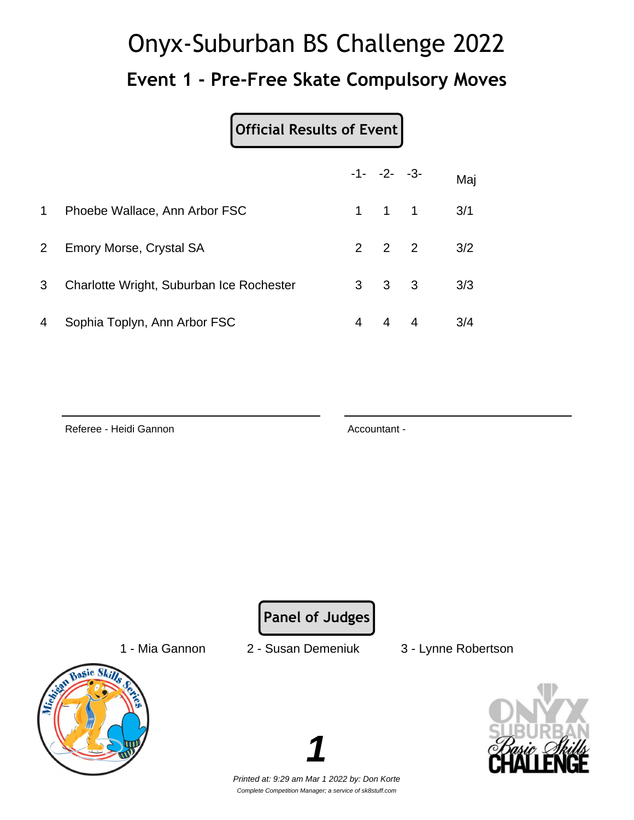# Onyx-Suburban BS Challenge 2022 **Event 1 - Pre-Free Skate Compulsory Moves**

### **Official Results of Event**

|                |                                          |   | $-1 - -2 - -3$      | Maj |
|----------------|------------------------------------------|---|---------------------|-----|
| $\mathbf{1}$   | Phoebe Wallace, Ann Arbor FSC            |   | $1 \quad 1 \quad 1$ | 3/1 |
| 2 <sup>7</sup> | Emory Morse, Crystal SA                  |   | $2 \quad 2 \quad 2$ | 3/2 |
| 3 <sup>1</sup> | Charlotte Wright, Suburban Ice Rochester |   | $3 \quad 3 \quad 3$ | 3/3 |
| 4              | Sophia Toplyn, Ann Arbor FSC             | 4 | $4 \quad 4$         | 3/4 |

Referee - Heidi Gannon Accountant -

**Panel of Judges**

1 - Mia Gannon 2 - Susan Demeniuk 3 - Lynne Robertson





Printed at: 9:29 am Mar 1 2022 by: Don Korte Complete Competition Manager; a service of sk8stuff.com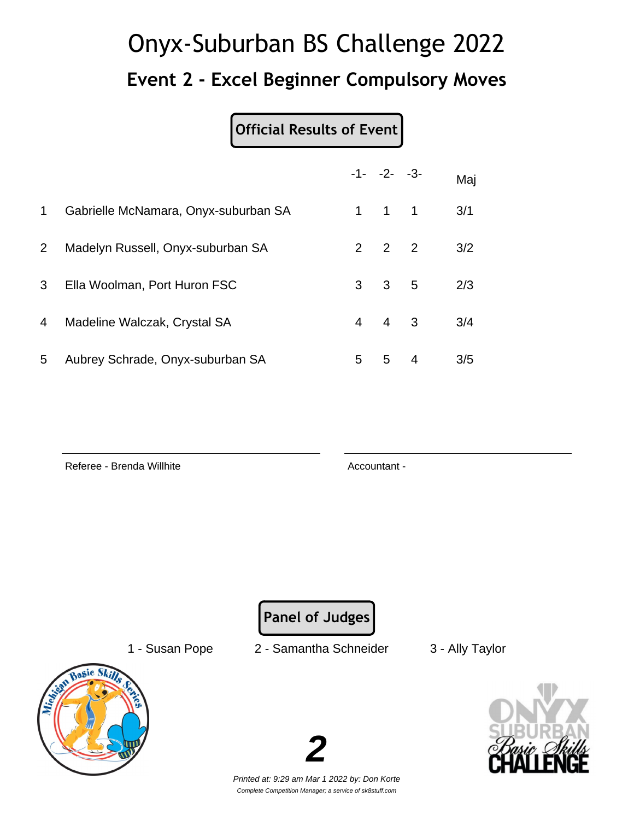# Onyx-Suburban BS Challenge 2022 **Event 2 - Excel Beginner Compulsory Moves**

#### **Official Results of Event**

|             |                                      |   | $-1 - -2 - -3$      |                | Maj |
|-------------|--------------------------------------|---|---------------------|----------------|-----|
| $\mathbf 1$ | Gabrielle McNamara, Onyx-suburban SA |   | $1 \quad 1 \quad 1$ |                | 3/1 |
| $2^{\circ}$ | Madelyn Russell, Onyx-suburban SA    |   | $2 \quad 2 \quad 2$ |                | 3/2 |
| 3           | Ella Woolman, Port Huron FSC         |   | $3 \quad 3 \quad 5$ |                | 2/3 |
| 4           | Madeline Walczak, Crystal SA         |   | $4 \quad 4 \quad 3$ |                | 3/4 |
| 5           | Aubrey Schrade, Onyx-suburban SA     | 5 | 5                   | $\overline{4}$ | 3/5 |

Referee - Brenda Willhite **Accountant - Accountant -**

**Panel of Judges**

1 - Susan Pope 2 - Samantha Schneider 3 - Ally Taylor



**2**

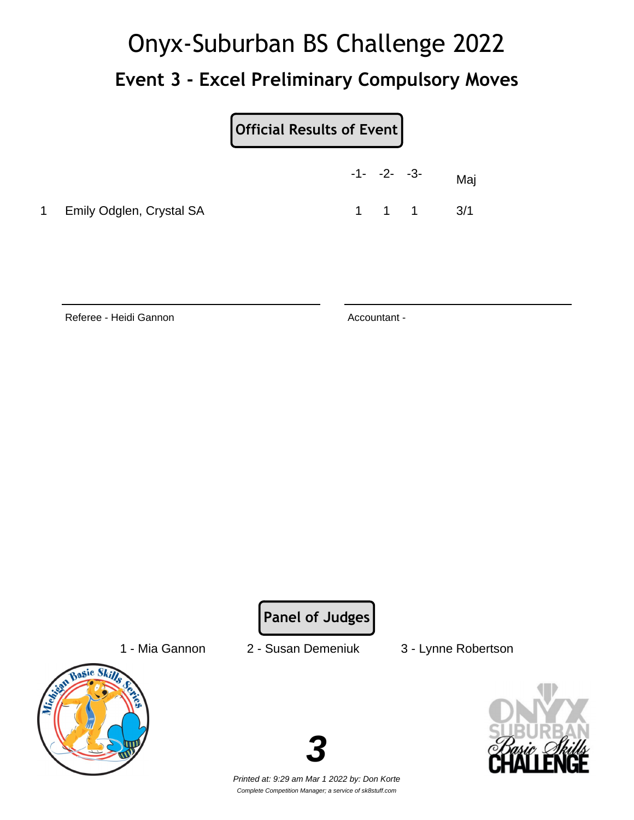# Onyx-Suburban BS Challenge 2022 **Event 3 - Excel Preliminary Compulsory Moves**

|                            | $-1 - -2 - -3$ |       | Maj |
|----------------------------|----------------|-------|-----|
| 1 Emily Odglen, Crystal SA |                | 1 1 1 | 3/1 |

Referee - Heidi Gannon Accountant -

**Panel of Judges**

- 
- Basic Ski





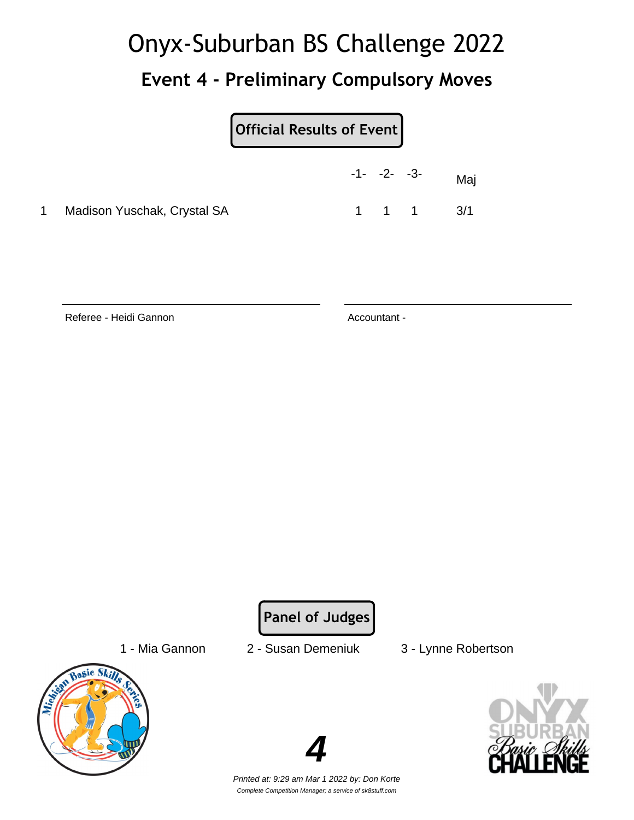### **Event 4 - Preliminary Compulsory Moves**

| <b>Official Results of Event</b> |  |
|----------------------------------|--|
|----------------------------------|--|

|           |                             | $-1 - -2 - -3$ |       | Maj |
|-----------|-----------------------------|----------------|-------|-----|
| $1 \quad$ | Madison Yuschak, Crystal SA |                | 1 1 1 | 3/1 |

Referee - Heidi Gannon Accountant -

**Panel of Judges**

- 1 Mia Gannon 2 Susan Demeniuk 3 Lynne Robertson
	-



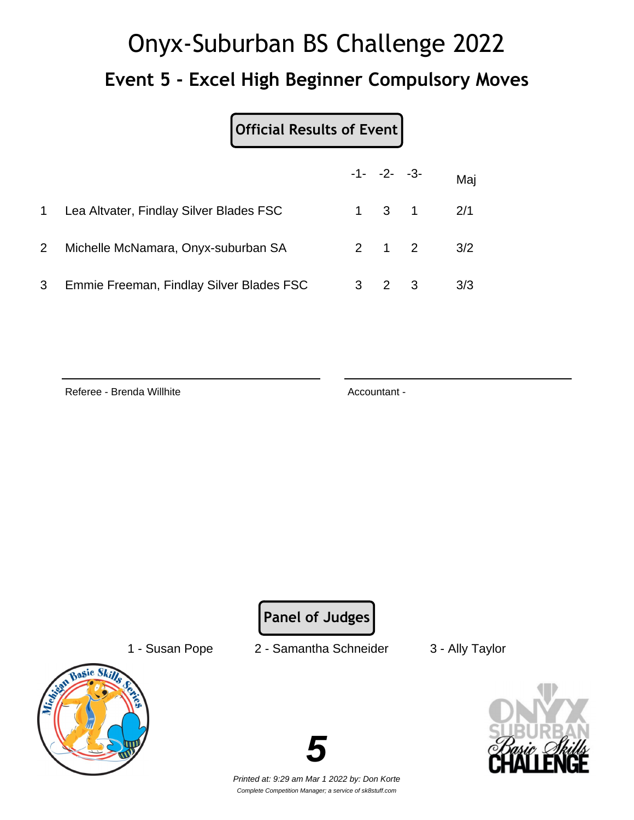# Onyx-Suburban BS Challenge 2022 **Event 5 - Excel High Beginner Compulsory Moves**

### **Official Results of Event**

|                |                                           | $-1 - -2 - -3 -$ |                   | Maj |
|----------------|-------------------------------------------|------------------|-------------------|-----|
|                | 1 Lea Altvater, Findlay Silver Blades FSC |                  | $1 \t3 \t1 \t2/1$ |     |
| $\mathbf{2}$   | Michelle McNamara, Onyx-suburban SA       |                  | 2 1 2 $3/2$       |     |
| 3 <sup>7</sup> | Emmie Freeman, Findlay Silver Blades FSC  | 3 2 3            |                   | 3/3 |

Referee - Brenda Willhite **Accountant - Accountant -**

**Panel of Judges**

1 - Susan Pope 2 - Samantha Schneider 3 - Ally Taylor





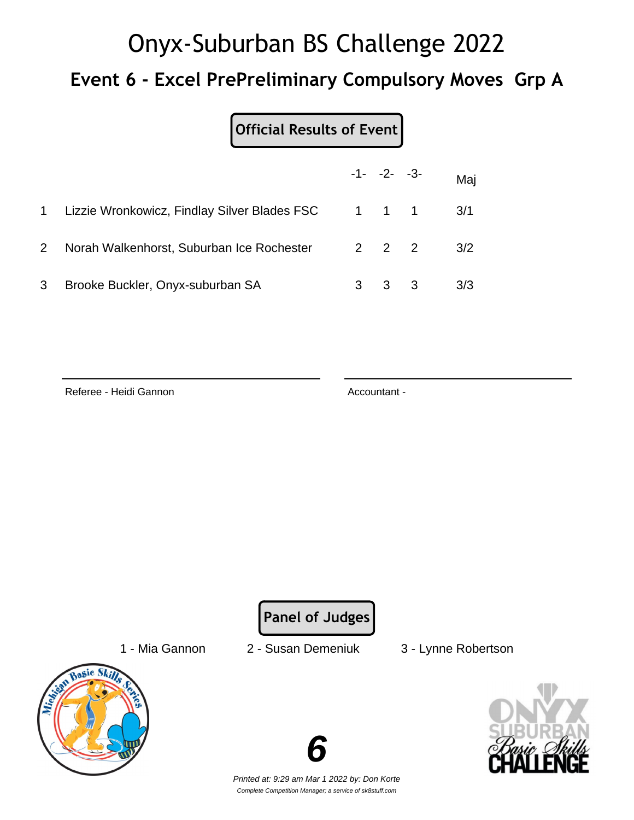# Onyx-Suburban BS Challenge 2022 **Event 6 - Excel PrePreliminary Compulsory Moves Grp A**

### **Official Results of Event**

|                |                                                      |   | $-1 - -2 - -3$      | Maj |
|----------------|------------------------------------------------------|---|---------------------|-----|
|                | 1 Lizzie Wronkowicz, Findlay Silver Blades FSC 1 1 1 |   |                     | 3/1 |
| 2 <sup>1</sup> | Norah Walkenhorst, Suburban Ice Rochester            |   | $2 \quad 2 \quad 2$ | 3/2 |
| 3              | Brooke Buckler, Onyx-suburban SA                     | 3 | 3 <sub>3</sub>      | 3/3 |

Referee - Heidi Gannon Accountant -

**Panel of Judges**

- 
- Basic Ski





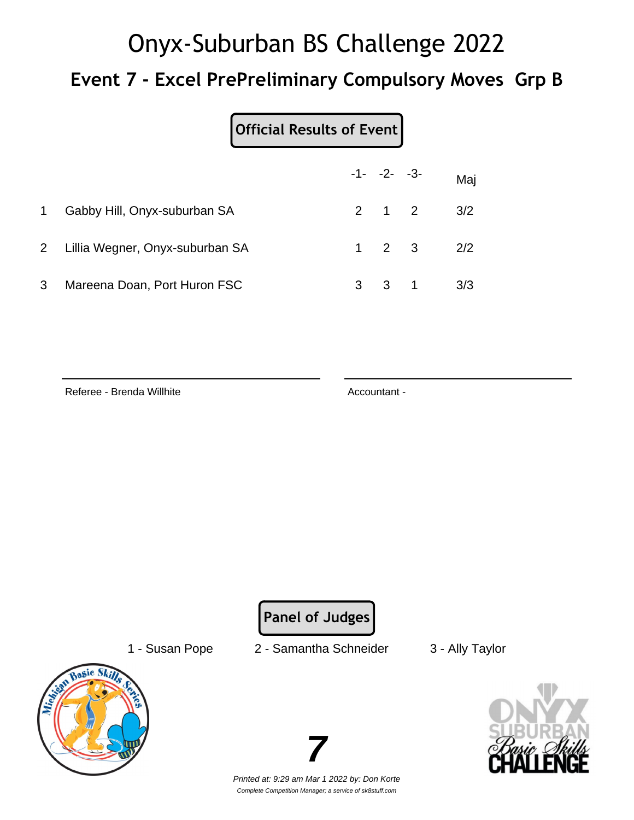# Onyx-Suburban BS Challenge 2022 **Event 7 - Excel PrePreliminary Compulsory Moves Grp B**

|              |                                   | $-1 - -2 - -3$      |                   | Maj |
|--------------|-----------------------------------|---------------------|-------------------|-----|
| $\mathbf{1}$ | Gabby Hill, Onyx-suburban SA      | $2 \quad 1 \quad 2$ |                   | 3/2 |
|              | 2 Lillia Wegner, Onyx-suburban SA | $1 \quad 2 \quad 3$ |                   | 2/2 |
| 3            | Mareena Doan, Port Huron FSC      |                     | $3 \t3 \t1 \t3/3$ |     |

Referee - Brenda Willhite **Accountant - Accountant -**

**Panel of Judges**

1 - Susan Pope 2 - Samantha Schneider 3 - Ally Taylor





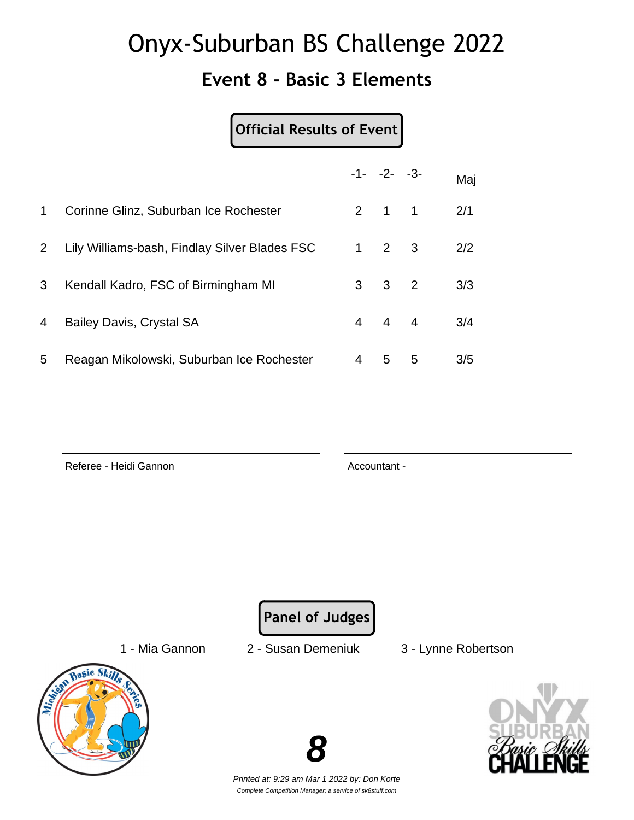### **Event 8 - Basic 3 Elements**

#### **Official Results of Event**

|                       |                                               |   | $-1 - -2 - -3$      |   | Maj |
|-----------------------|-----------------------------------------------|---|---------------------|---|-----|
| $\mathbf 1$           | Corinne Glinz, Suburban Ice Rochester         |   | $2 \quad 1 \quad 1$ |   | 2/1 |
| $\mathbf{2}^{\prime}$ | Lily Williams-bash, Findlay Silver Blades FSC |   | $1 \quad 2 \quad 3$ |   | 2/2 |
| 3                     | Kendall Kadro, FSC of Birmingham MI           |   | $3 \quad 3 \quad 2$ |   | 3/3 |
| 4                     | Bailey Davis, Crystal SA                      |   | $4 \quad 4 \quad 4$ |   | 3/4 |
| 5                     | Reagan Mikolowski, Suburban Ice Rochester     | 4 | 5                   | 5 | 3/5 |

Referee - Heidi Gannon Accountant -

**Panel of Judges**



1 - Mia Gannon 2 - Susan Demeniuk 3 - Lynne Robertson



Printed at: 9:29 am Mar 1 2022 by: Don Korte Complete Competition Manager; a service of sk8stuff.com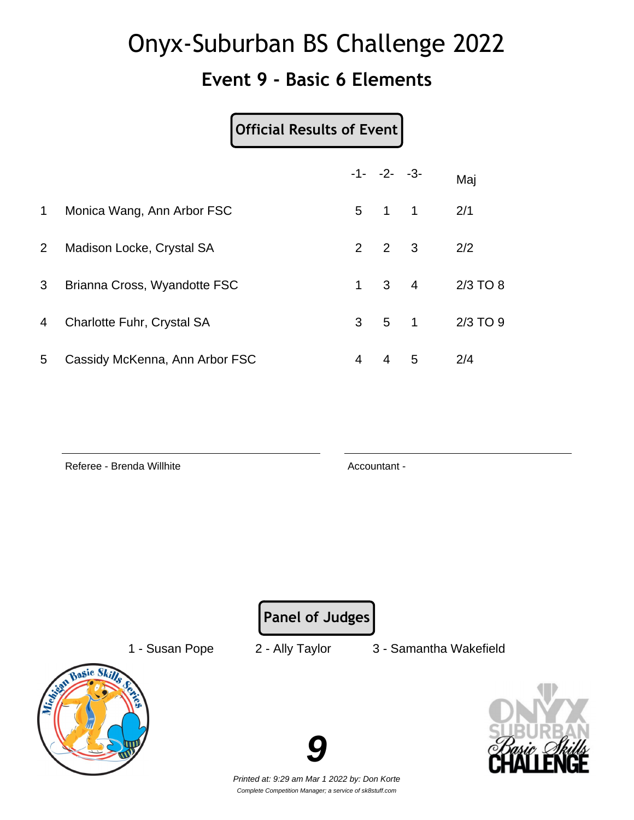### **Event 9 - Basic 6 Elements**

|             | <b>Official Results of Event</b> |                |                     |                |              |
|-------------|----------------------------------|----------------|---------------------|----------------|--------------|
|             |                                  |                | $-1 - -2 - -3$      |                | Maj          |
| $\mathbf 1$ | Monica Wang, Ann Arbor FSC       |                | $5 \quad 1 \quad 1$ |                | 2/1          |
| 2           | Madison Locke, Crystal SA        | $\overline{2}$ | $2 \quad 3$         |                | 2/2          |
| 3           | Brianna Cross, Wyandotte FSC     | 1              | 3 <sup>7</sup>      | $\overline{4}$ | $2/3$ TO $8$ |
| 4           | Charlotte Fuhr, Crystal SA       | 3              | 5 <sub>1</sub>      |                | $2/3$ TO $9$ |
| 5           | Cassidy McKenna, Ann Arbor FSC   | 4              | 4                   | 5              | 2/4          |

Referee - Brenda Willhite **Accountant - Accountant -**

**Panel of Judges**

1 - Susan Pope 2 - Ally Taylor 3 - Samantha Wakefield



Printed at: 9:29 am Mar 1 2022 by: Don Korte Complete Competition Manager; a service of sk8stuff.com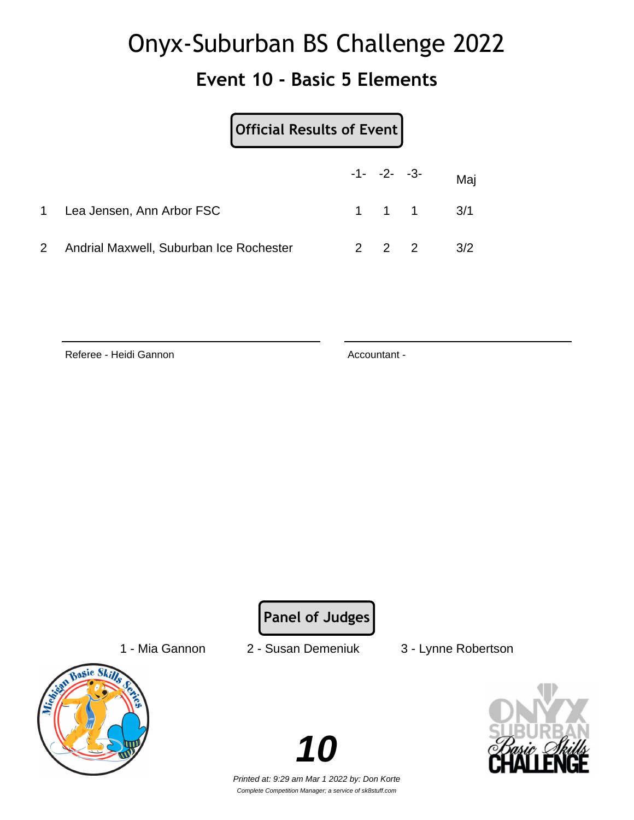### **Event 10 - Basic 5 Elements**

|                                         | Official Results of Event |             |                               |
|-----------------------------------------|---------------------------|-------------|-------------------------------|
|                                         |                           |             | $-1 - -2 - -3 -$ Maj          |
| 1 Lea Jensen, Ann Arbor FSC             |                           |             | $1 \quad 1 \quad 1 \quad 3/1$ |
| Andrial Maxwell, Suburban Ice Rochester |                           | $2 \quad 2$ | 3/2                           |

Referee - Heidi Gannon Accountant -

**Panel of Judges**

1 - Mia Gannon 2 - Susan Demeniuk 3 - Lynne Robertson



**10**

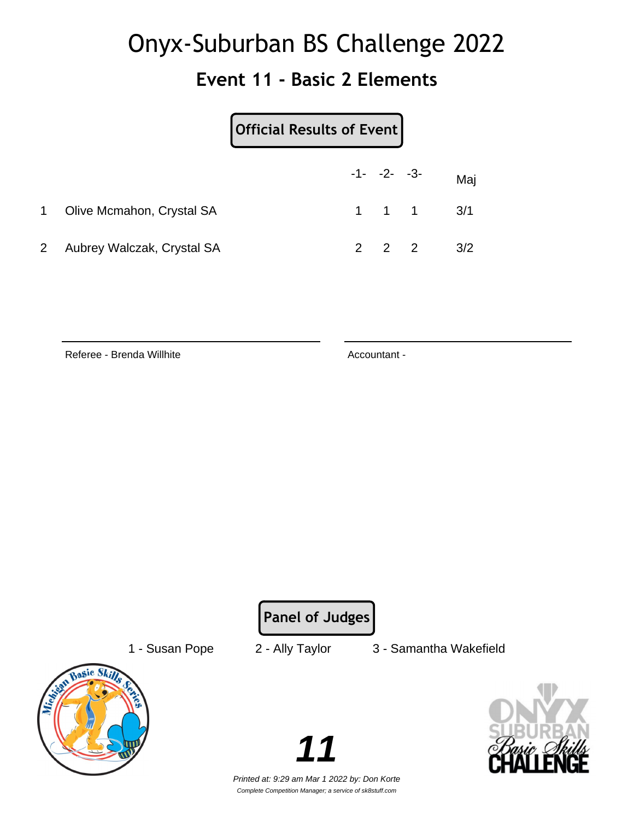### **Event 11 - Basic 2 Elements**

|              |                            | Official Results of Event |  |                               |
|--------------|----------------------------|---------------------------|--|-------------------------------|
|              |                            |                           |  | $-1 - -2 - -3 -$ Maj          |
| $\mathbf 1$  | Olive Mcmahon, Crystal SA  |                           |  | $1 \quad 1 \quad 1 \quad 3/1$ |
| $\mathbf{2}$ | Aubrey Walczak, Crystal SA |                           |  | $2 \t2 \t2 \t3/2$             |

Referee - Brenda Willhite Accountant -

**Panel of Judges**

1 - Susan Pope 2 - Ally Taylor 3 - Samantha Wakefield



Printed at: 9:29 am Mar 1 2022 by: Don Korte Complete Competition Manager; a service of sk8stuff.com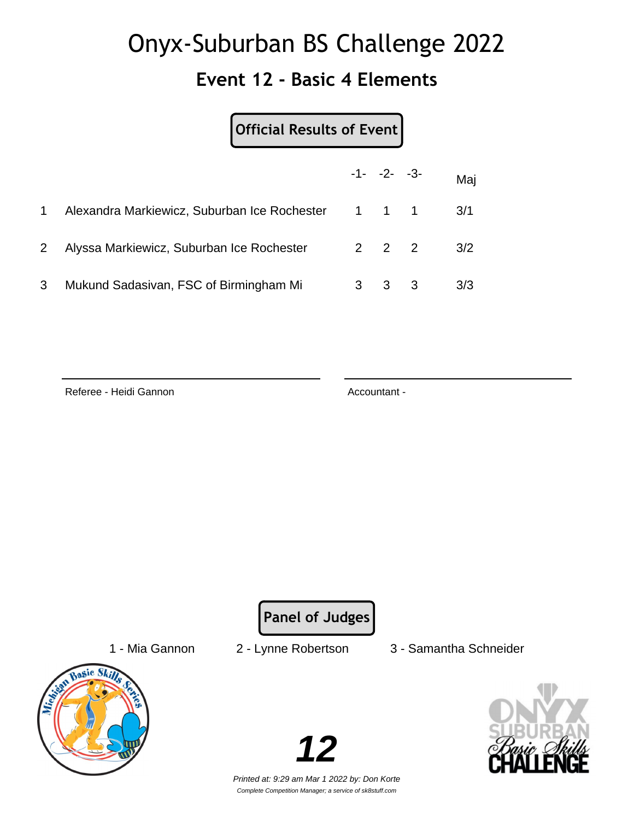### **Event 12 - Basic 4 Elements**

| <b>Official Results of Event</b> |
|----------------------------------|
|----------------------------------|

|             |                                                    | $-1 - -2 - -3$    | Maj |
|-------------|----------------------------------------------------|-------------------|-----|
|             | Alexandra Markiewicz, Suburban Ice Rochester 1 1 1 |                   | 3/1 |
| $2^{\circ}$ | Alyssa Markiewicz, Suburban Ice Rochester          | $2\quad 2\quad 2$ | 3/2 |
| 3           | Mukund Sadasivan, FSC of Birmingham Mi             | $3 \quad 3$       | 3/3 |

Referee - Heidi Gannon Accountant -

**Panel of Judges**



1 - Mia Gannon 2 - Lynne Robertson 3 - Samantha Schneider



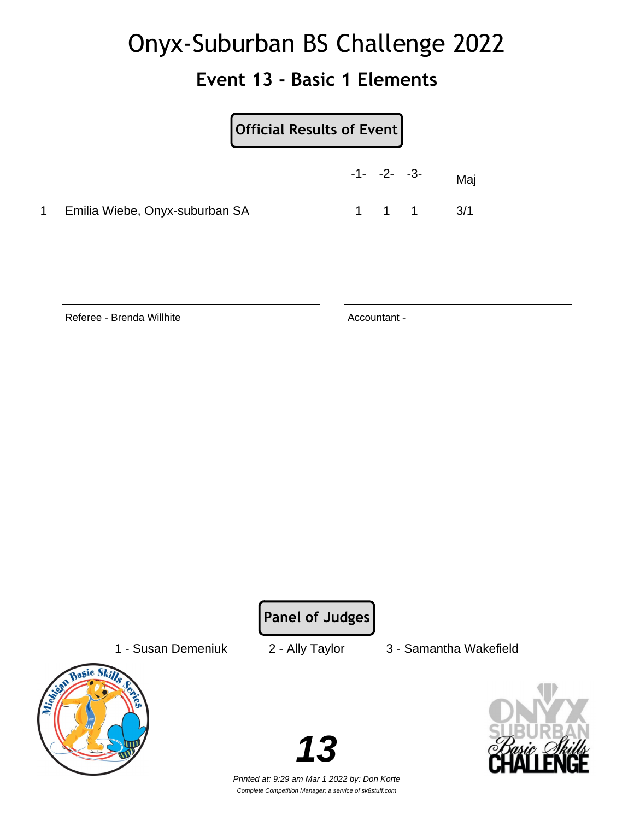### **Event 13 - Basic 1 Elements**

|           | Official Results of Event      |                |                               |
|-----------|--------------------------------|----------------|-------------------------------|
|           |                                | $-1 - -2 - -3$ | Maj                           |
| $1 \quad$ | Emilia Wiebe, Onyx-suburban SA |                | $1 \quad 1 \quad 1 \quad 3/1$ |

Referee - Brenda Willhite **Accountant - Accountant -**

**Panel of Judges**

1 - Susan Demeniuk 2 - Ally Taylor 3 - Samantha Wakefield





Printed at: 9:29 am Mar 1 2022 by: Don Korte Complete Competition Manager; a service of sk8stuff.com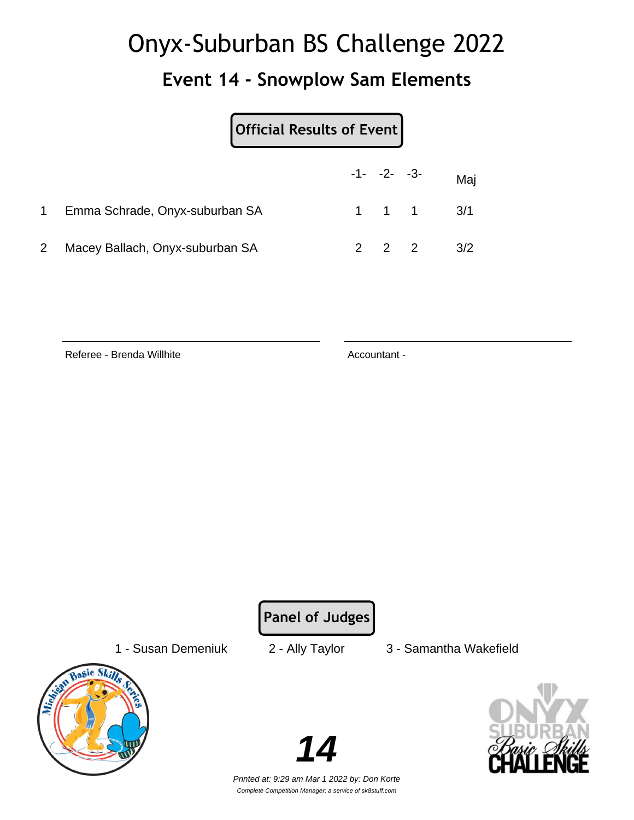### **Event 14 - Snowplow Sam Elements**

|                           | Official Results of Event       |  |                               |
|---------------------------|---------------------------------|--|-------------------------------|
|                           |                                 |  | $-1 - -2 - -3 -$ Maj          |
|                           | Emma Schrade, Onyx-suburban SA  |  | $1 \quad 1 \quad 1 \quad 3/1$ |
| $\mathbf{2}^{\mathsf{I}}$ | Macey Ballach, Onyx-suburban SA |  | $2 \t2 \t2 \t3/2$             |

Referee - Brenda Willhite **Accountant - Accountant -**

**Panel of Judges**

1 - Susan Demeniuk 2 - Ally Taylor 3 - Samantha Wakefield



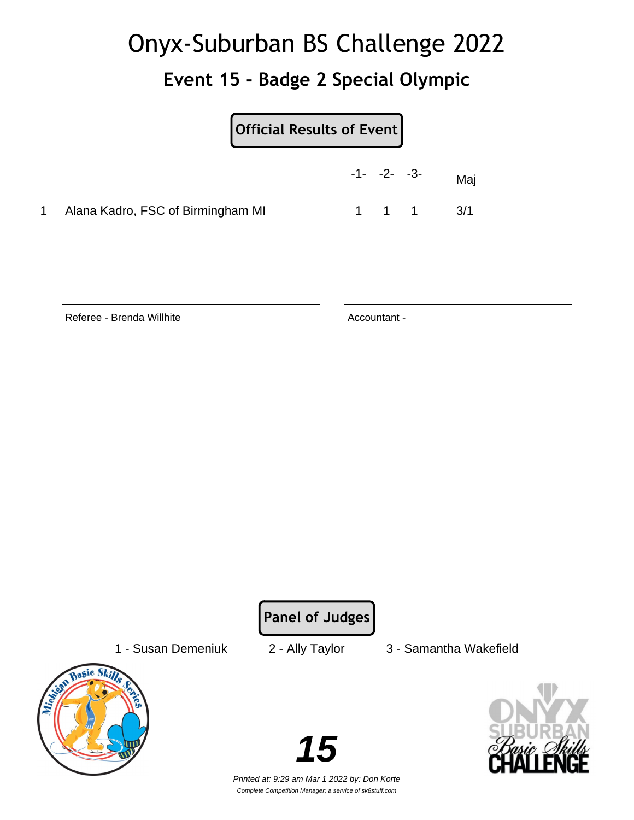# Onyx-Suburban BS Challenge 2022 **Event 15 - Badge 2 Special Olympic**

### **Official Results of Event**

|                                     | $-1 - -2 - -3$ |       | Maj |
|-------------------------------------|----------------|-------|-----|
| 1 Alana Kadro, FSC of Birmingham MI |                | 1 1 1 | 3/1 |

Referee - Brenda Willhite **Accountant - Accountant -**

**Panel of Judges**

1 - Susan Demeniuk 2 - Ally Taylor 3 - Samantha Wakefield



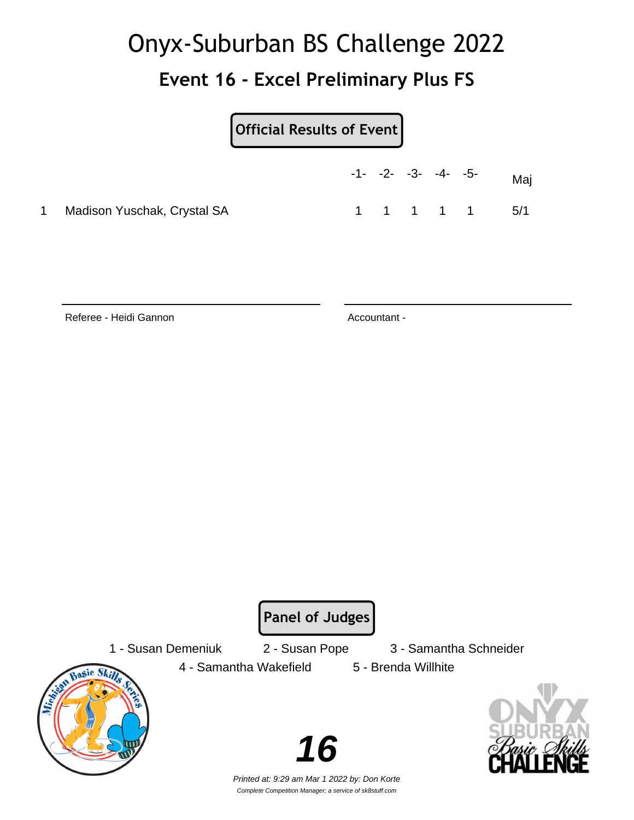### **Event 16 - Excel Preliminary Plus FS**

**Official Results of Event**

|                             | $-1$ - $-2$ - $-3$ - $-4$ - $-5$ - |  |  | Maj |
|-----------------------------|------------------------------------|--|--|-----|
| Madison Yuschak, Crystal SA | 1 1 1 1 1                          |  |  | 5/1 |

Referee - Heidi Gannon Accountant -

**Panel of Judges**

1 - Susan Demeniuk 2 - Susan Pope 3 - Samantha Schneider 4 - Samantha Wakefield 5 - Brenda Willhite



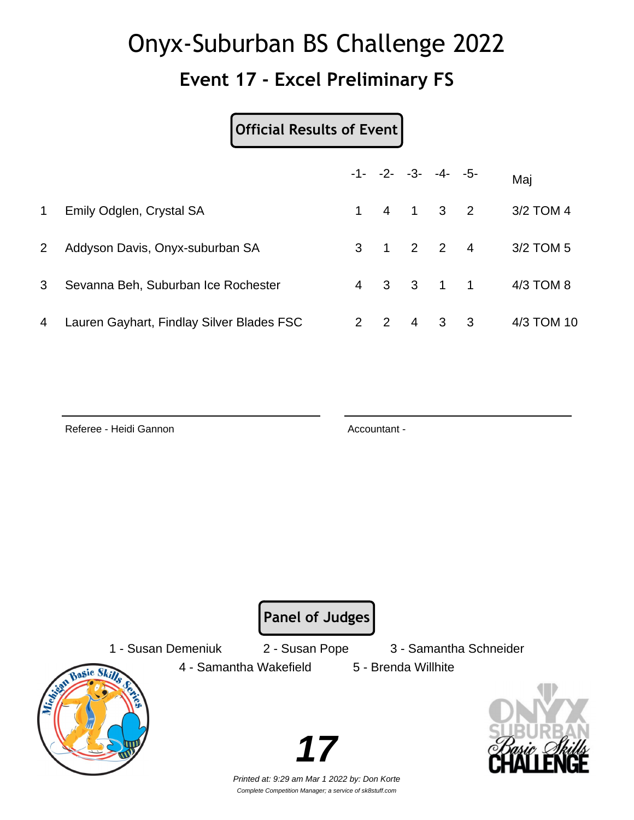### **Event 17 - Excel Preliminary FS**

#### **Official Results of Event**

|              |                                             | $-1 - -2 - -3 - -4 - -5$            |                |                         |                         | Maj        |
|--------------|---------------------------------------------|-------------------------------------|----------------|-------------------------|-------------------------|------------|
| $\mathbf{1}$ | Emily Odglen, Crystal SA                    | $1 \quad 4 \quad 1 \quad 3 \quad 2$ |                |                         |                         | 3/2 TOM 4  |
| $2^{\circ}$  | Addyson Davis, Onyx-suburban SA             | 3 1 2 2 4                           |                |                         |                         | 3/2 TOM 5  |
| 3            | Sevanna Beh, Suburban Ice Rochester         | 4   3   3   1   1                   |                |                         |                         | 4/3 TOM 8  |
|              | 4 Lauren Gayhart, Findlay Silver Blades FSC | $\overline{\phantom{0}}^2$          | $\overline{4}$ | $\overline{\mathbf{3}}$ | $\overline{\mathbf{3}}$ | 4/3 TOM 10 |

Referee - Heidi Gannon Accountant -

**Panel of Judges**

1 - Susan Demeniuk 2 - Susan Pope 3 - Samantha Schneider

4 - Samantha Wakefield 5 - Brenda Willhite



**17**

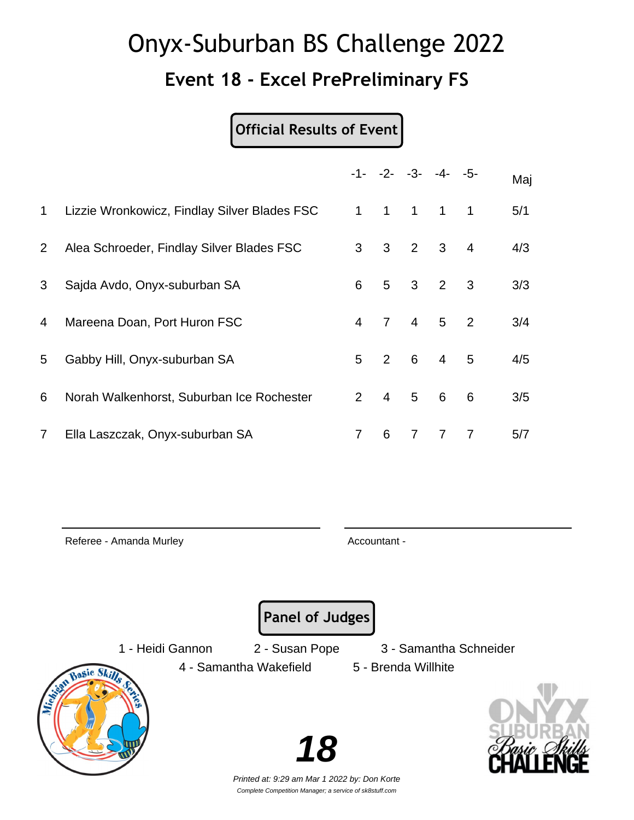# **Event 18 - Excel PrePreliminary FS**

#### **Official Results of Event**

|                |                                              |                |                |                | $-1 - -2 - -3 - -4 - -5$ |                            | Maj |
|----------------|----------------------------------------------|----------------|----------------|----------------|--------------------------|----------------------------|-----|
| $\mathbf 1$    | Lizzie Wronkowicz, Findlay Silver Blades FSC |                |                |                | 1 1 1 1 1                |                            | 5/1 |
| 2 <sup>1</sup> | Alea Schroeder, Findlay Silver Blades FSC    | 3              | 3              | $\overline{2}$ | $\mathbf{3}$             | $\overline{4}$             | 4/3 |
| 3              | Sajda Avdo, Onyx-suburban SA                 | 6              | 5 <sub>5</sub> |                | $3 \quad 2$              | $\overline{\mathbf{3}}$    | 3/3 |
| 4              | Mareena Doan, Port Huron FSC                 | $\overline{4}$ | $7^{\circ}$    | $\overline{4}$ | $5\overline{)}$          | $\overline{\phantom{0}}^2$ | 3/4 |
| 5              | Gabby Hill, Onyx-suburban SA                 | 5              | $2 \quad 6$    |                | $\overline{4}$           | 5                          | 4/5 |
| 6              | Norah Walkenhorst, Suburban Ice Rochester    | $\overline{2}$ | $\overline{4}$ | 5 <sup>5</sup> | 6                        | 6                          | 3/5 |
| $\overline{7}$ | Ella Laszczak, Onyx-suburban SA              | $\overline{7}$ | 6              | $\overline{7}$ | 7                        | 7                          | 5/7 |

Referee - Amanda Murley **Accountant - Accountant -**

**Aasic Sk** 

**Panel of Judges**

4 - Samantha Wakefield 5 - Brenda Willhite

1 - Heidi Gannon 2 - Susan Pope 3 - Samantha Schneider





Printed at: 9:29 am Mar 1 2022 by: Don Korte Complete Competition Manager; a service of sk8stuff.com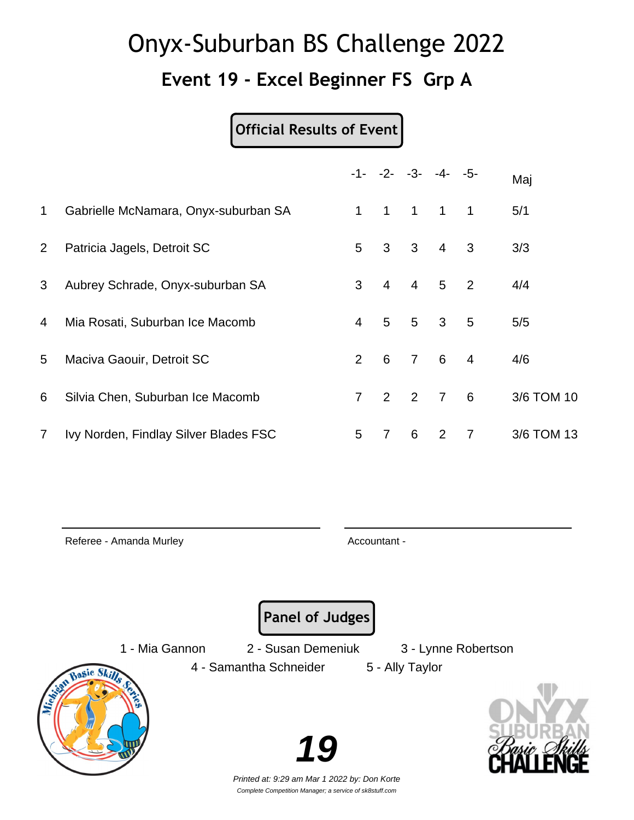# Onyx-Suburban BS Challenge 2022 **Event 19 - Excel Beginner FS Grp A**

#### **Official Results of Event**

|                |                                       |                | $-1 - -2 - -3 - -4 - -5$ |                |                |                | Maj        |
|----------------|---------------------------------------|----------------|--------------------------|----------------|----------------|----------------|------------|
| $\mathbf 1$    | Gabrielle McNamara, Onyx-suburban SA  | $\mathbf{1}$   | $\mathbf{1}$             | $\mathbf{1}$   | $\overline{1}$ | $\overline{1}$ | 5/1        |
| $\overline{2}$ | Patricia Jagels, Detroit SC           | 5              | 3                        | $\mathbf{3}$   | $\overline{4}$ | 3              | 3/3        |
| 3              | Aubrey Schrade, Onyx-suburban SA      | 3              | $\overline{4}$           | $\overline{4}$ | 5              | $\overline{2}$ | 4/4        |
| 4              | Mia Rosati, Suburban Ice Macomb       | $\overline{4}$ | 5                        | 5              | 3              | 5              | 5/5        |
| 5              | Maciva Gaouir, Detroit SC             | $\overline{2}$ | 6                        | $\overline{7}$ | 6              | $\overline{4}$ | 4/6        |
| 6              | Silvia Chen, Suburban Ice Macomb      | $\overline{7}$ | $\overline{\mathbf{2}}$  | $\overline{2}$ | $\overline{7}$ | $6^{\circ}$    | 3/6 TOM 10 |
| $\overline{7}$ | Ivy Norden, Findlay Silver Blades FSC | 5              | 7                        | 6              | 2              | $\overline{7}$ | 3/6 TOM 13 |

Referee - Amanda Murley **Accountant - Accountant - Accountant** -

**Panel of Judges**

4 - Samantha Schneider 5 - Ally Taylor

1 - Mia Gannon 2 - Susan Demeniuk 3 - Lynne Robertson



**19**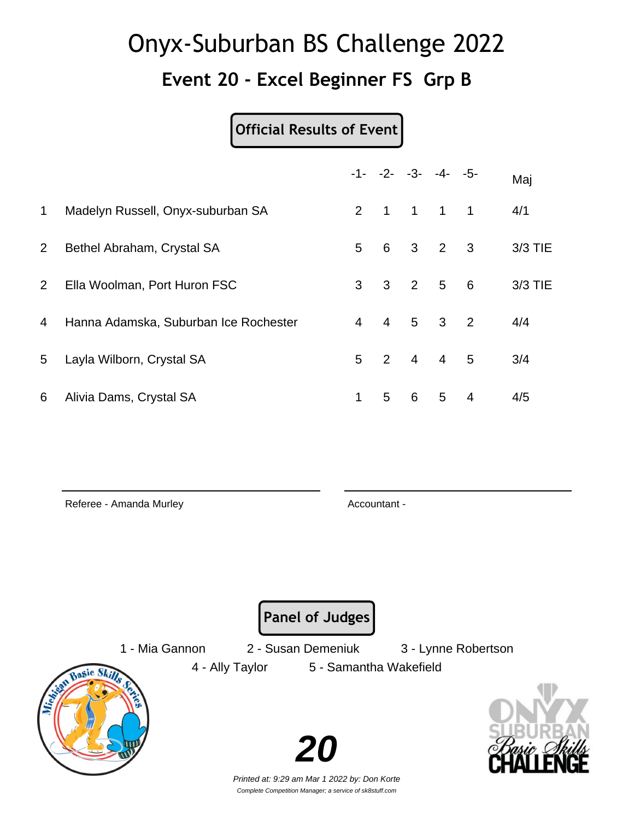### **Event 20 - Excel Beginner FS Grp B**

### **Official Results of Event**

|                |                                       |                |                | $-1 - -2 - -3 - -4 - -5$    |   |                | Maj     |
|----------------|---------------------------------------|----------------|----------------|-----------------------------|---|----------------|---------|
| $\mathbf 1$    | Madelyn Russell, Onyx-suburban SA     |                |                | 2 1 1 1 1                   |   |                | 4/1     |
| $\overline{2}$ | Bethel Abraham, Crystal SA            | 5              |                | 6 3 2 3                     |   |                | 3/3 TIE |
| $2^{\circ}$    | Ella Woolman, Port Huron FSC          | 3 <sup>7</sup> |                | $3 \quad 2 \quad 5 \quad 6$ |   |                | 3/3 TIE |
| 4              | Hanna Adamska, Suburban Ice Rochester | $\overline{4}$ | $\overline{4}$ | $5 \quad 3 \quad 2$         |   |                | 4/4     |
| 5              | Layla Wilborn, Crystal SA             |                |                | 5 2 4 4                     |   | 5              | 3/4     |
| 6              | Alivia Dams, Crystal SA               | 1              | 5              | 6                           | 5 | $\overline{4}$ | 4/5     |

Referee - Amanda Murley **Accountant - Accountant - Accountant** -

**Panel of Judges**

1 - Mia Gannon 2 - Susan Demeniuk 3 - Lynne Robertson

4 - Ally Taylor 5 - Samantha Wakefield



**20**

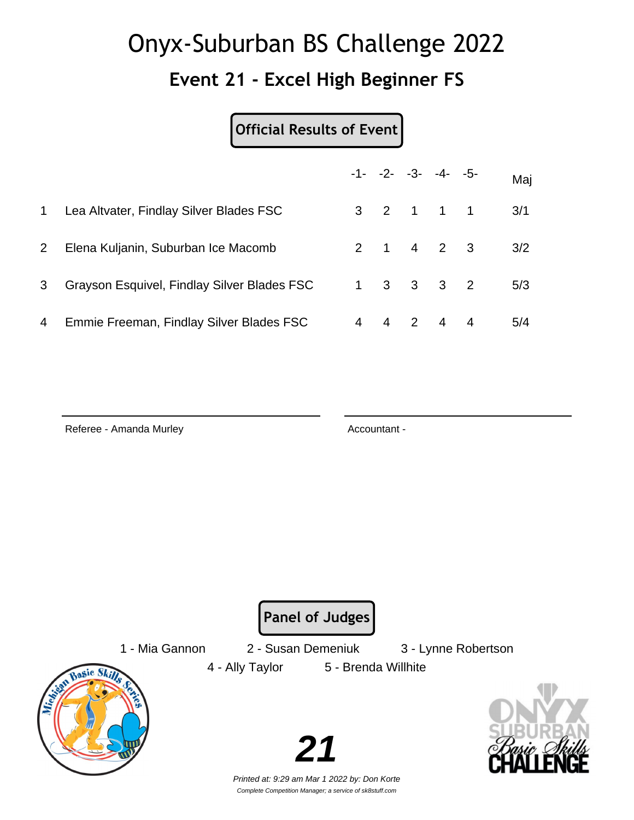### **Event 21 - Excel High Beginner FS**

### **Official Results of Event**

|                |                                             |    |  | $-1 - -2 - -3 - -4 - -5$ | Maj |
|----------------|---------------------------------------------|----|--|--------------------------|-----|
| $\mathbf 1$    | Lea Altvater, Findlay Silver Blades FSC     |    |  | 3 2 1 1 1                | 3/1 |
| 2 <sup>1</sup> | Elena Kuljanin, Suburban Ice Macomb         |    |  | 2 1 4 2 3                | 3/2 |
| 3              | Grayson Esquivel, Findlay Silver Blades FSC |    |  | $1 \t3 \t3 \t3 \t2$      | 5/3 |
| 4              | Emmie Freeman, Findlay Silver Blades FSC    | 44 |  | 2 4 4                    | 5/4 |

Referee - Amanda Murley Accountant -

**Panel of Judges**

1 - Mia Gannon 2 - Susan Demeniuk 3 - Lynne Robertson

4 - Ally Taylor 5 - Brenda Willhite





Printed at: 9:29 am Mar 1 2022 by: Don Korte Complete Competition Manager; a service of sk8stuff.com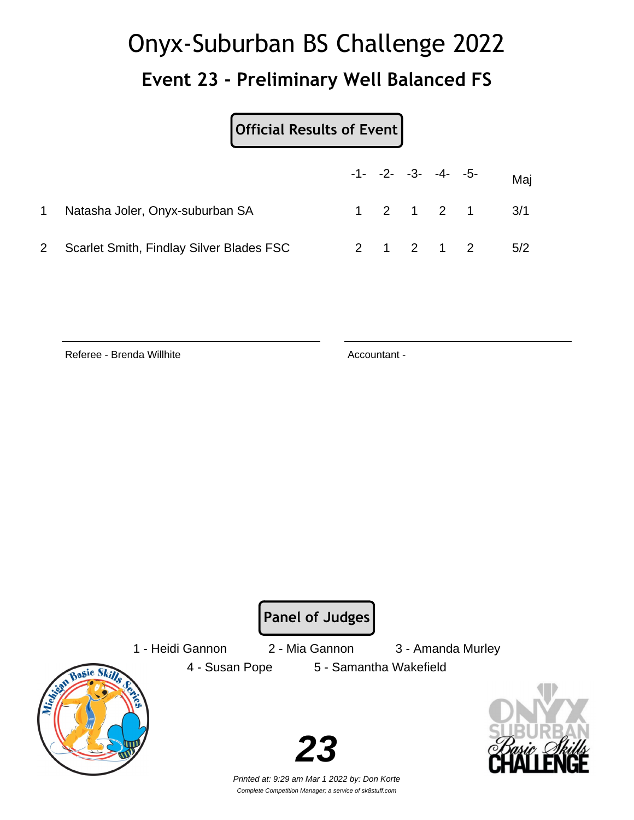# Onyx-Suburban BS Challenge 2022 **Event 23 - Preliminary Well Balanced FS**

#### **Official Results of Event**

|                                            |  | $-1 - -2 - -3 - -4 - -5$ |           | Maj           |
|--------------------------------------------|--|--------------------------|-----------|---------------|
| Natasha Joler, Onyx-suburban SA            |  |                          |           | 1 2 1 2 1 3/1 |
| 2 Scarlet Smith, Findlay Silver Blades FSC |  |                          | 2 1 2 1 2 | 5/2           |

Referee - Brenda Willhite **Accountant - Accountant -**

**Panel of Judges**

1 - Heidi Gannon 2 - Mia Gannon 3 - Amanda Murley

4 - Susan Pope 5 - Samantha Wakefield



**23**

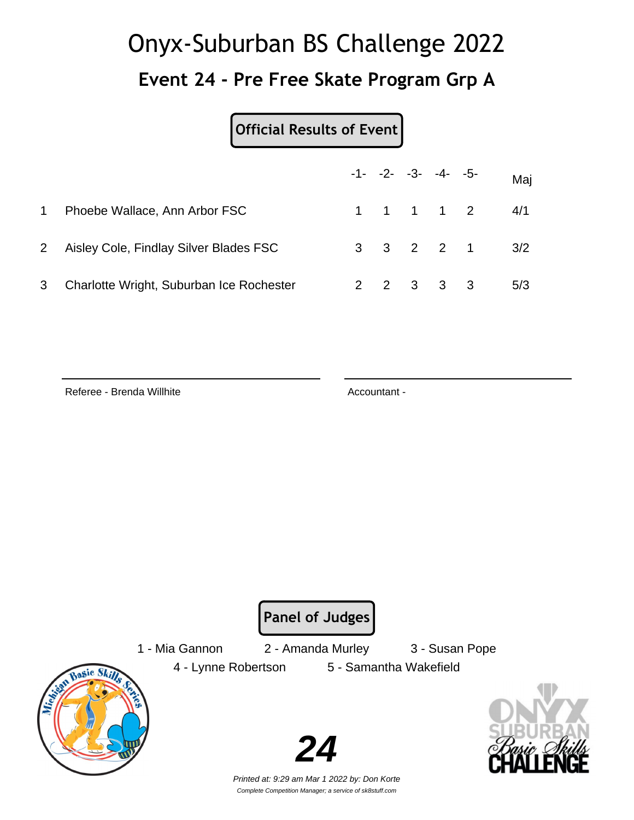# Onyx-Suburban BS Challenge 2022 **Event 24 - Pre Free Skate Program Grp A**

#### **Official Results of Event**

|              |                                          |  | $-1 - -2 - -3 - -4 - -5$ |           | Maj                       |
|--------------|------------------------------------------|--|--------------------------|-----------|---------------------------|
| $\mathbf 1$  | Phoebe Wallace, Ann Arbor FSC            |  |                          | 1 1 1 1 2 | 4/1                       |
| $\mathbf{2}$ | Aisley Cole, Findlay Silver Blades FSC   |  |                          |           | $3 \t3 \t2 \t2 \t1 \t3/2$ |
|              | Charlotte Wright, Suburban Ice Rochester |  | 2 2 3 3 3                |           | 5/3                       |

Referee - Brenda Willhite **Accountant - Accountant -** Accountant -

**Panel of Judges**

1 - Mia Gannon 2 - Amanda Murley 3 - Susan Pope

4 - Lynne Robertson 5 - Samantha Wakefield



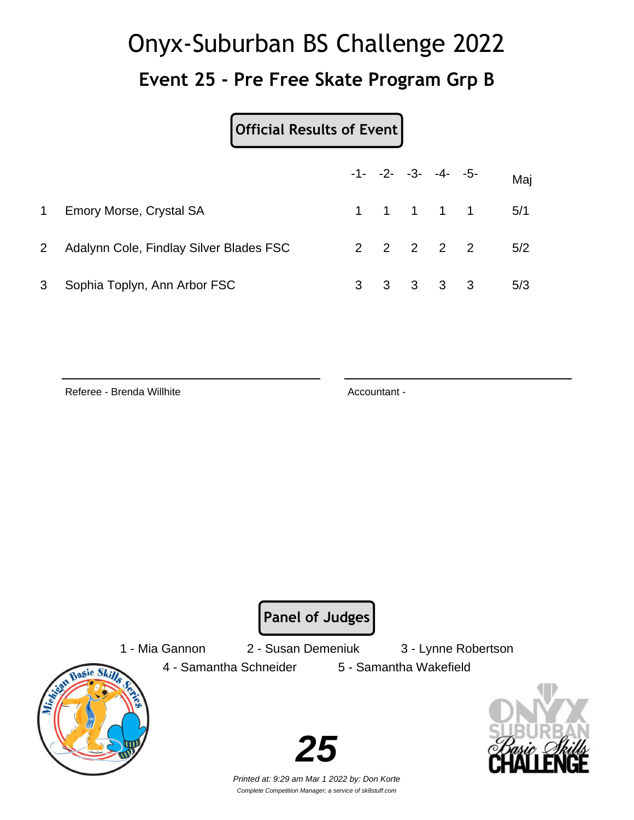# Onyx-Suburban BS Challenge 2022 **Event 25 - Pre Free Skate Program Grp B**

#### **Official Results of Event**

|   |                                           |  | $-1$ - $-2$ - $-3$ - $-4$ - $-5$ - |           | Maj           |
|---|-------------------------------------------|--|------------------------------------|-----------|---------------|
|   | 1 Emory Morse, Crystal SA                 |  |                                    |           | 1 1 1 1 1 5/1 |
|   | 2 Adalynn Cole, Findlay Silver Blades FSC |  |                                    |           | 2 2 2 2 2 5/2 |
| 3 | Sophia Toplyn, Ann Arbor FSC              |  |                                    | 3 3 3 3 3 | 5/3           |

Referee - Brenda Willhite **Accountant - Accountant -** Accountant -

**Panel of Judges**

1 - Mia Gannon 2 - Susan Demeniuk 3 - Lynne Robertson

4 - Samantha Schneider 5 - Samantha Wakefield



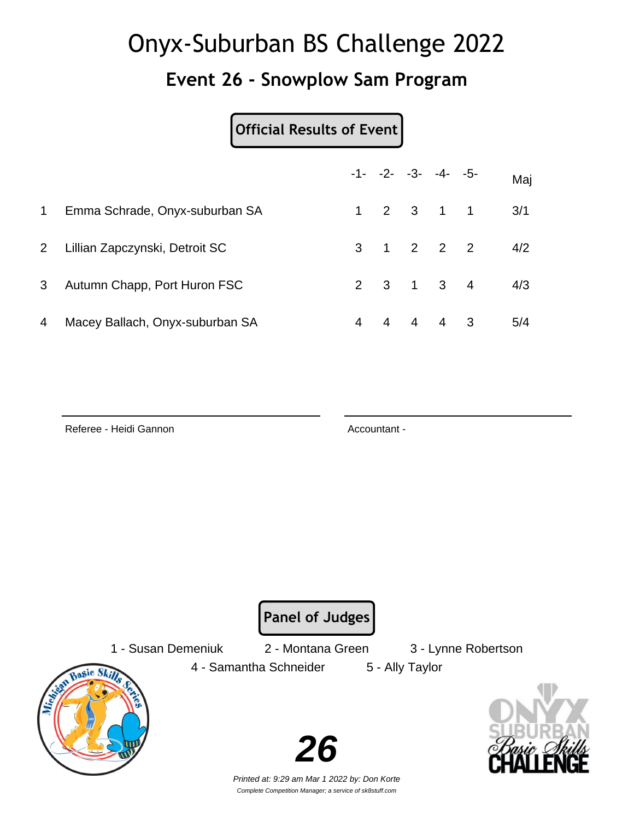### **Event 26 - Snowplow Sam Program**

#### **Official Results of Event**

|                |                                 |                |  | $-1 - -2 - -3 - -4 - -5$ | Maj |
|----------------|---------------------------------|----------------|--|--------------------------|-----|
| $\mathbf 1$    | Emma Schrade, Onyx-suburban SA  |                |  | 1 2 3 1 1                | 3/1 |
| $2^{\circ}$    | Lillian Zapczynski, Detroit SC  |                |  | 3 1 2 2 2                | 4/2 |
| 3 <sup>1</sup> | Autumn Chapp, Port Huron FSC    |                |  | 2 3 1 3 4                | 4/3 |
| 4              | Macey Ballach, Onyx-suburban SA | $\overline{4}$ |  | 4 4 4 3                  | 5/4 |

Referee - Heidi Gannon Accountant -

**Panel of Judges**

1 - Susan Demeniuk 2 - Montana Green 3 - Lynne Robertson



4 - Samantha Schneider 5 - Ally Taylor



Printed at: 9:29 am Mar 1 2022 by: Don Korte Complete Competition Manager; a service of sk8stuff.com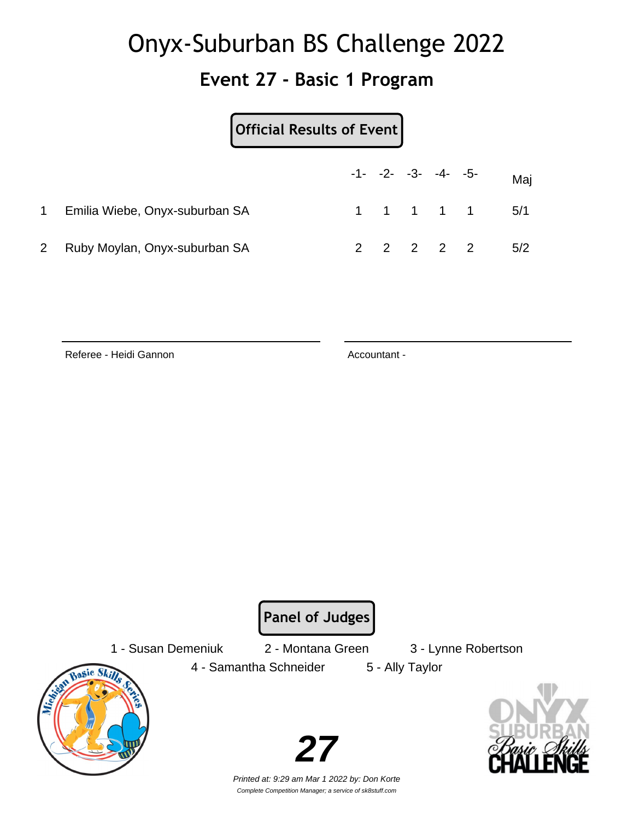### **Event 27 - Basic 1 Program**

|                                  |  | $-1 - -2 - -3 - -4 - -5$ |           | Maj           |
|----------------------------------|--|--------------------------|-----------|---------------|
| 1 Emilia Wiebe, Onyx-suburban SA |  |                          |           | 1 1 1 1 1 5/1 |
| 2 Ruby Moylan, Onyx-suburban SA  |  |                          | 2 2 2 2 2 | 5/2           |

Referee - Heidi Gannon Accountant -

**Panel of Judges**

1 - Susan Demeniuk 2 - Montana Green 3 - Lynne Robertson



4 - Samantha Schneider 5 - Ally Taylor



Printed at: 9:29 am Mar 1 2022 by: Don Korte Complete Competition Manager; a service of sk8stuff.com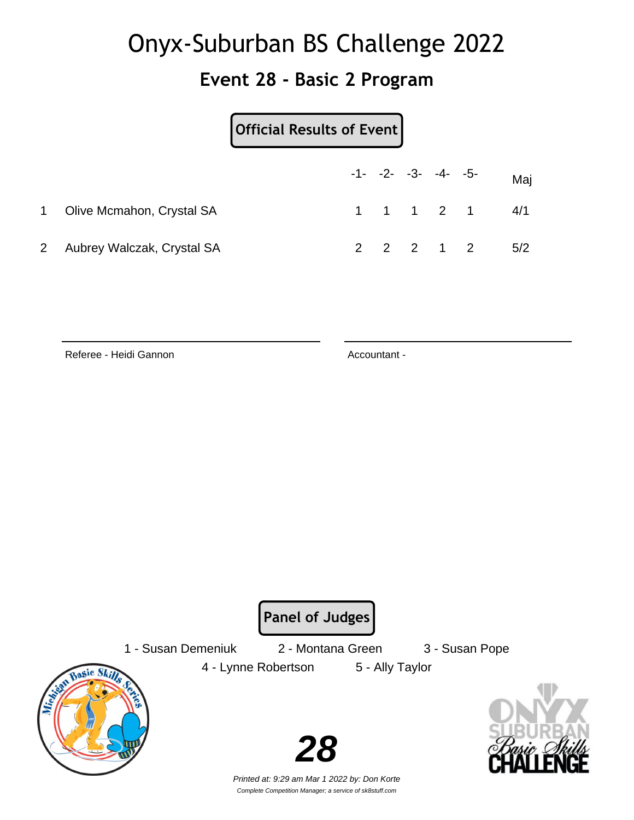### **Event 28 - Basic 2 Program**

|                              |  | $-1 - -2 - -3 - -4 - -5$ |           | Maj                                           |
|------------------------------|--|--------------------------|-----------|-----------------------------------------------|
| 1 Olive Mcmahon, Crystal SA  |  |                          |           | $1 \quad 1 \quad 1 \quad 2 \quad 1 \quad 4/1$ |
| 2 Aubrey Walczak, Crystal SA |  |                          | 2 2 2 1 2 | 5/2                                           |

Referee - Heidi Gannon Accountant -

**Panel of Judges**

1 - Susan Demeniuk 2 - Montana Green 3 - Susan Pope

4 - Lynne Robertson 5 - Ally Taylor





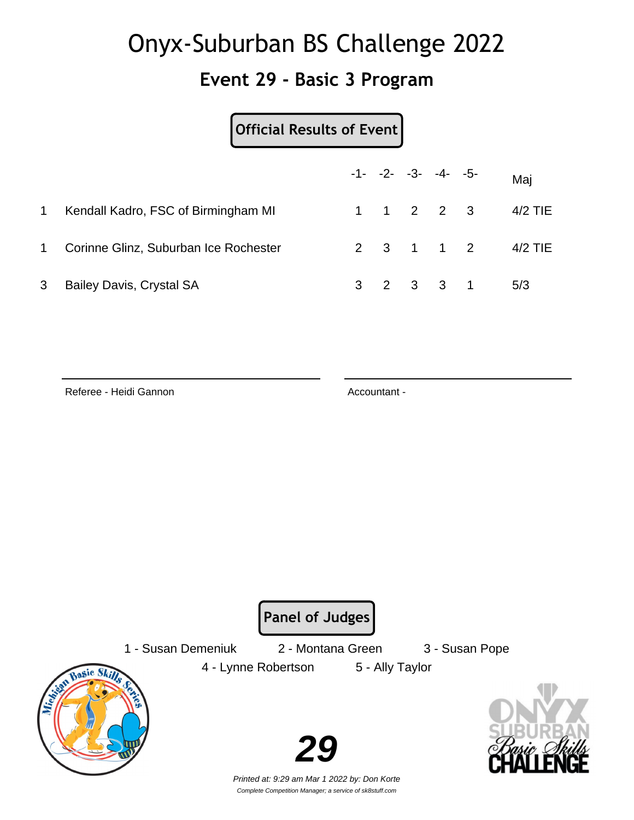### **Event 29 - Basic 3 Program**

#### **Official Results of Event**

|              |                                       |  | $-1$ - $-2$ - $-3$ - $-4$ - $-5$ - |           | Maj                       |
|--------------|---------------------------------------|--|------------------------------------|-----------|---------------------------|
| $\mathbf{1}$ | Kendall Kadro, FSC of Birmingham MI   |  |                                    | 1 1 2 2 3 | 4/2 TIE                   |
| 1            | Corinne Glinz, Suburban Ice Rochester |  |                                    |           | 2 3 1 1 2 4/2 TIE         |
| 3            | <b>Bailey Davis, Crystal SA</b>       |  |                                    |           | $3 \t2 \t3 \t3 \t1 \t5/3$ |

Referee - Heidi Gannon Accountant -

**Panel of Judges**

1 - Susan Demeniuk 2 - Montana Green 3 - Susan Pope

4 - Lynne Robertson 5 - Ally Taylor





Printed at: 9:29 am Mar 1 2022 by: Don Korte Complete Competition Manager; a service of sk8stuff.com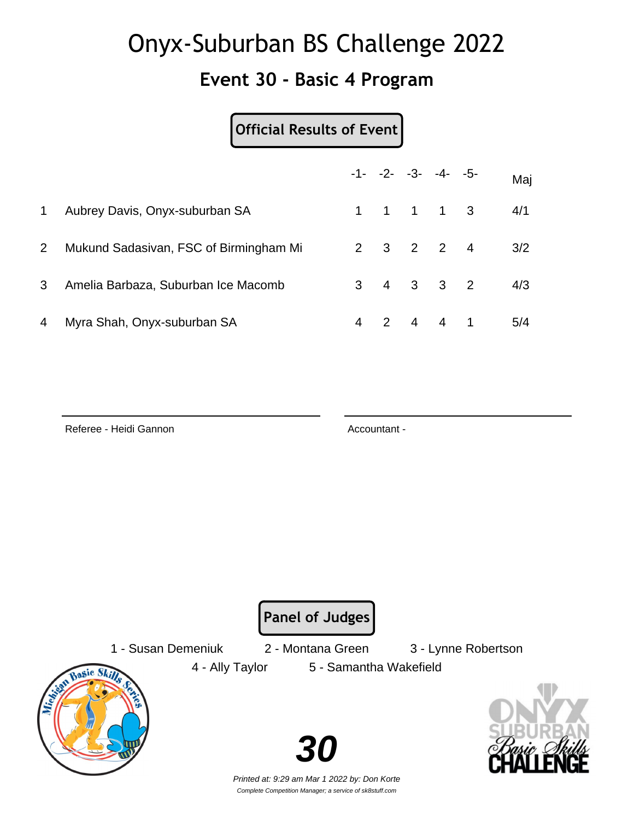### **Event 30 - Basic 4 Program**

### **Official Results of Event**

|             |                                        |  | $-1 - -2 - -3 - -4 - -5$ | Maj |
|-------------|----------------------------------------|--|--------------------------|-----|
| $\mathbf 1$ | Aubrey Davis, Onyx-suburban SA         |  | 1 1 1 1 3                | 4/1 |
| $2^{\circ}$ | Mukund Sadasivan, FSC of Birmingham Mi |  | 2 3 2 2 4                | 3/2 |
| 3           | Amelia Barbaza, Suburban Ice Macomb    |  | $3 \t 4 \t 3 \t 3 \t 2$  | 4/3 |
| 4           | Myra Shah, Onyx-suburban SA            |  | 4 2 4 4 1                | 5/4 |

Referee - Heidi Gannon Accountant -

Basic Sk

**Panel of Judges**

1 - Susan Demeniuk 2 - Montana Green 3 - Lynne Robertson

4 - Ally Taylor 5 - Samantha Wakefield





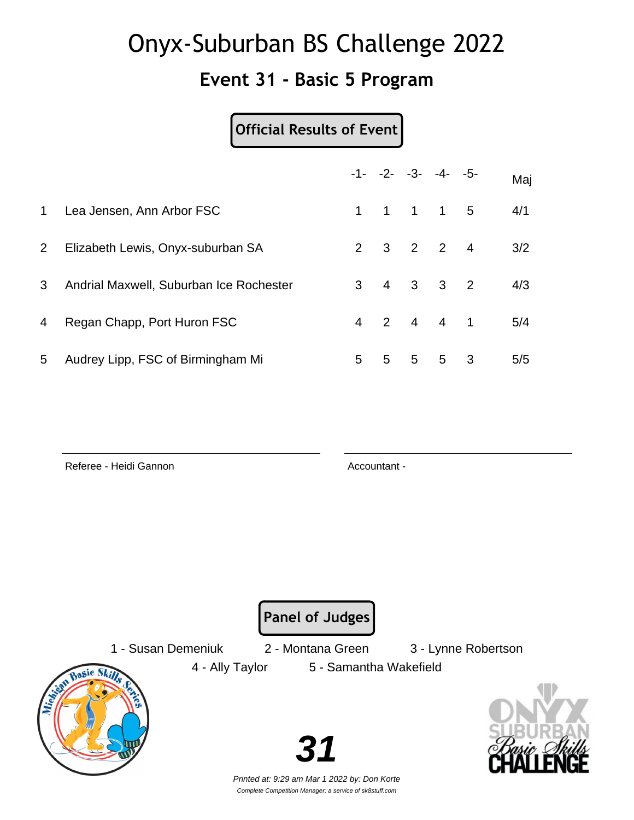### **Event 31 - Basic 5 Program**

### **Official Results of Event**

|                |                                         |   |   | $-1 - -2 - -3 - -4 - -5$ |                         | Maj |
|----------------|-----------------------------------------|---|---|--------------------------|-------------------------|-----|
| $\mathbf 1$    | Lea Jensen, Ann Arbor FSC               |   |   | 1 1 1 1 5                |                         | 4/1 |
| 2 <sup>1</sup> | Elizabeth Lewis, Onyx-suburban SA       |   |   | 2 3 2 2 4                |                         | 3/2 |
| 3 <sup>1</sup> | Andrial Maxwell, Suburban Ice Rochester | 3 |   | 4 3 3 2                  |                         | 4/3 |
| 4              | Regan Chapp, Port Huron FSC             |   |   | 4 2 4 4 1                |                         | 5/4 |
| 5              | Audrey Lipp, FSC of Birmingham Mi       | 5 | 5 | 5 5                      | $\overline{\mathbf{3}}$ | 5/5 |

Referee - Heidi Gannon Accountant -

**Panel of Judges**

4 - Ally Taylor 5 - Samantha Wakefield

1 - Susan Demeniuk 2 - Montana Green 3 - Lynne Robertson



**31**

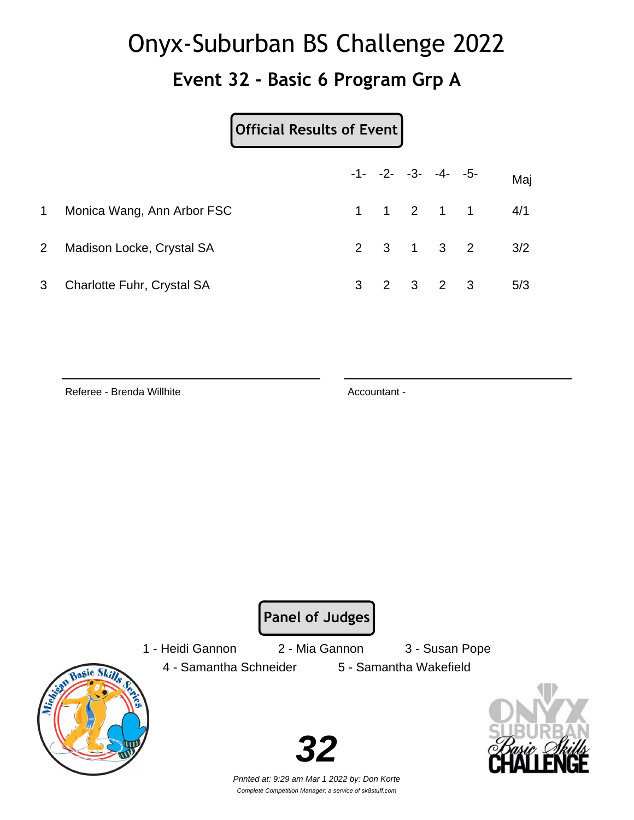### **Event 32 - Basic 6 Program Grp A**

**Official Results of Event**

|                |                            |  | $-1 - -2 - -3 - -4 - -5$ |           | Maj                                           |
|----------------|----------------------------|--|--------------------------|-----------|-----------------------------------------------|
| 1              | Monica Wang, Ann Arbor FSC |  |                          |           | $1 \quad 1 \quad 2 \quad 1 \quad 1 \quad 4/1$ |
| 2 <sup>1</sup> | Madison Locke, Crystal SA  |  |                          |           | $2 \t3 \t1 \t3 \t2 \t3/2$                     |
| 3 <sup>7</sup> | Charlotte Fuhr, Crystal SA |  |                          | 3 2 3 2 3 | 5/3                                           |

Referee - Brenda Willhite **Accountant - Accountant - Accountant** - Accountant -

**Panel of Judges**

1 - Heidi Gannon 2 - Mia Gannon 3 - Susan Pope

4 - Samantha Schneider 5 - Samantha Wakefield



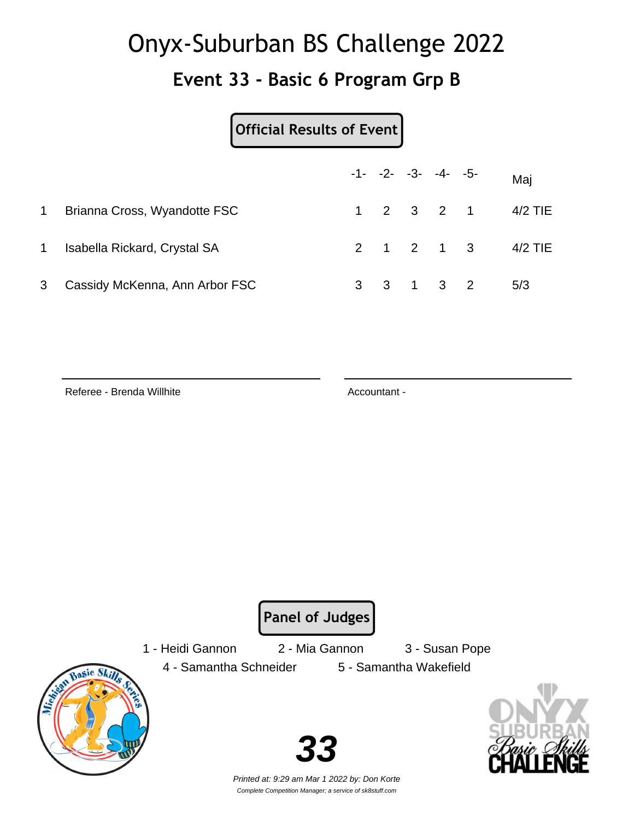### **Event 33 - Basic 6 Program Grp B**

#### **Official Results of Event**

|                |                                |  | $-1$ - $-2$ - $-3$ - $-4$ - $-5$ - |  | Maj               |
|----------------|--------------------------------|--|------------------------------------|--|-------------------|
| $\mathbf{1}$   | Brianna Cross, Wyandotte FSC   |  |                                    |  | 1 2 3 2 1 4/2 TIE |
| 1              | Isabella Rickard, Crystal SA   |  |                                    |  | 2 1 2 1 3 4/2 TIE |
| 3 <sup>7</sup> | Cassidy McKenna, Ann Arbor FSC |  | 3 3 1 3 2                          |  | 5/3               |

Referee - Brenda Willhite **Accountant - Accountant - Accountant** - Accountant -

**Panel of Judges**

1 - Heidi Gannon 2 - Mia Gannon 3 - Susan Pope

4 - Samantha Schneider 5 - Samantha Wakefield

Sasic Ski

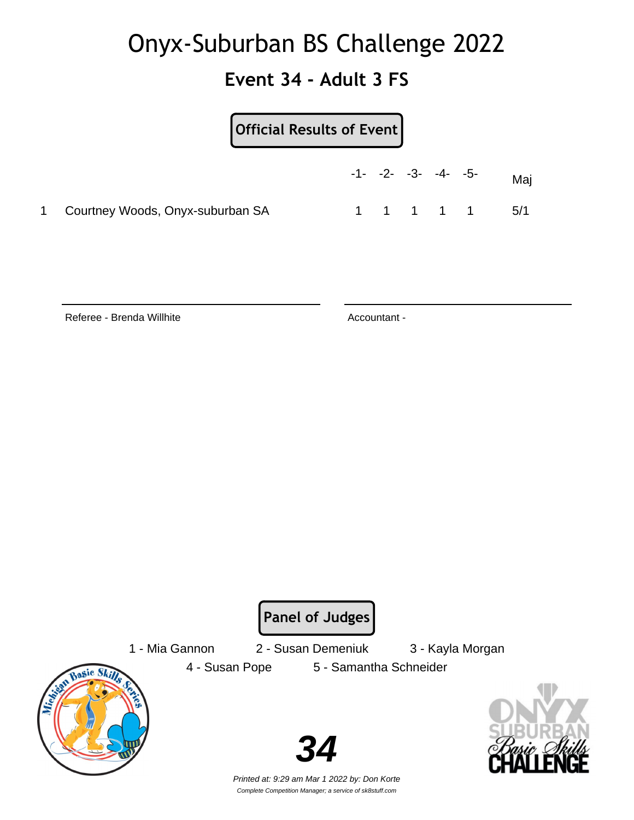### **Event 34 - Adult 3 FS**

#### **Official Results of Event**

|                                    |  | $-1$ - $-2$ - $-3$ - $-4$ - $-5$ - |           | Maj |
|------------------------------------|--|------------------------------------|-----------|-----|
| 1 Courtney Woods, Onyx-suburban SA |  |                                    | 1 1 1 1 1 | 5/1 |

Referee - Brenda Willhite **Accountant - Accountant -**

**Panel of Judges**

asic Sk

1 - Mia Gannon 2 - Susan Demeniuk 3 - Kayla Morgan

4 - Susan Pope 5 - Samantha Schneider



Printed at: 9:29 am Mar 1 2022 by: Don Korte Complete Competition Manager; a service of sk8stuff.com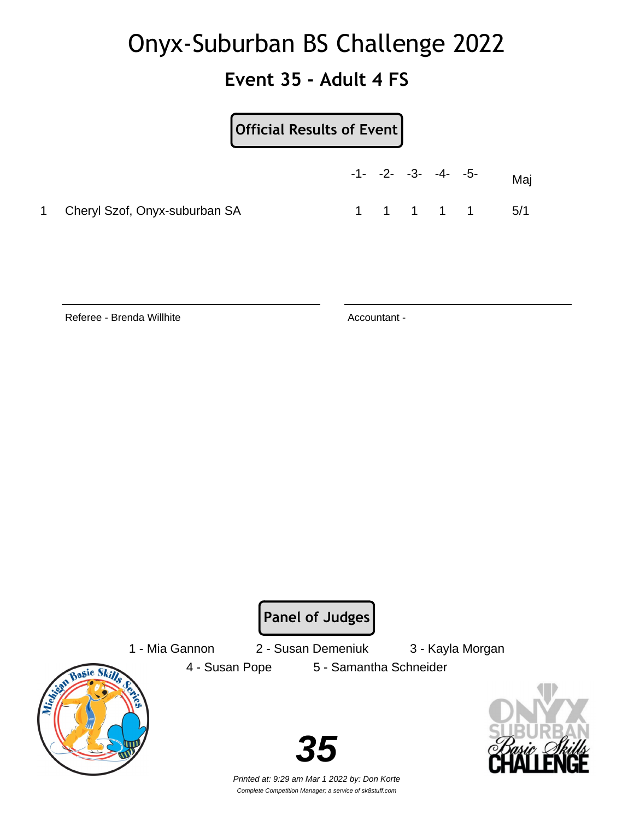### **Event 35 - Adult 4 FS**

#### **Official Results of Event**

|                                 | $-1$ - $-2$ - $-3$ - $-4$ - $-5$ - |           |  | Maj |
|---------------------------------|------------------------------------|-----------|--|-----|
| 1 Cheryl Szof, Onyx-suburban SA |                                    | 1 1 1 1 1 |  | 5/1 |

Referee - Brenda Willhite **Accountant - Accountant -**

**Panel of Judges**

1 - Mia Gannon 2 - Susan Demeniuk 3 - Kayla Morgan

4 - Susan Pope 5 - Samantha Schneider



**35**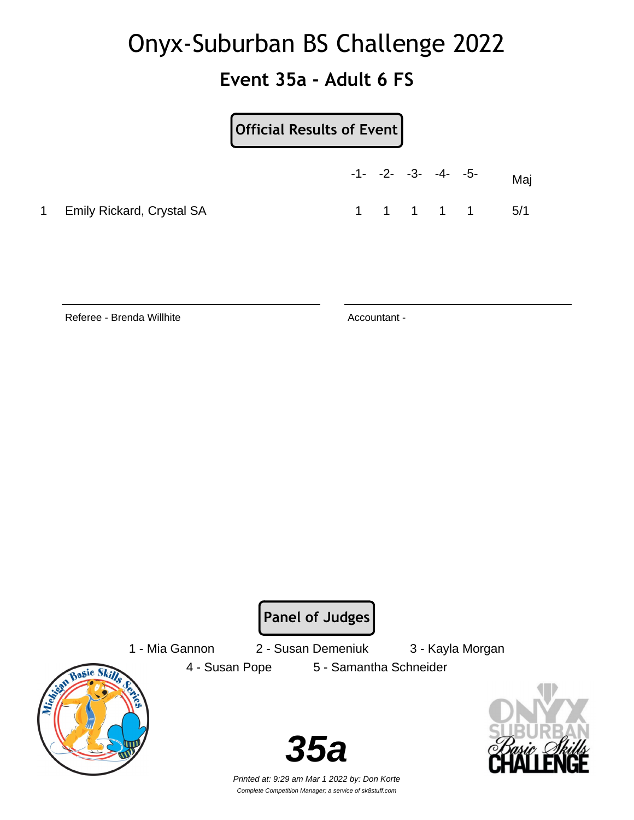### **Event 35a - Adult 6 FS**

#### **Official Results of Event**

|                             | $-1$ - $-2$ - $-3$ - $-4$ - $-5$ - |           |  | Maj |
|-----------------------------|------------------------------------|-----------|--|-----|
| 1 Emily Rickard, Crystal SA |                                    | 1 1 1 1 1 |  | 5/1 |

Referee - Brenda Willhite **Accountant - Accountant -**

**Panel of Judges**

1 - Mia Gannon 2 - Susan Demeniuk 3 - Kayla Morgan

4 - Susan Pope 5 - Samantha Schneider



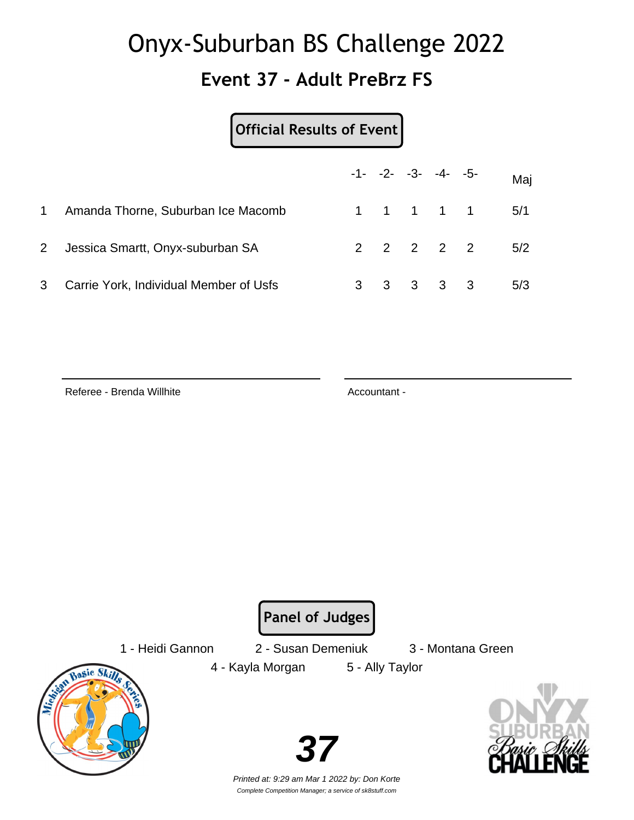### **Event 37 - Adult PreBrz FS**

#### **Official Results of Event**

|                |                                        |  | $-1 - -2 - -3 - -4 - -5$ |           | Maj           |
|----------------|----------------------------------------|--|--------------------------|-----------|---------------|
| 1              | Amanda Thorne, Suburban Ice Macomb     |  |                          | 1 1 1 1 1 | 5/1           |
|                | 2 Jessica Smartt, Onyx-suburban SA     |  |                          |           | 2 2 2 2 2 5/2 |
| 3 <sup>7</sup> | Carrie York, Individual Member of Usfs |  | $3 \t3 \t3 \t3 \t3$      |           | 5/3           |

Referee - Brenda Willhite **Accountant - Accountant -**

**Panel of Judges**

1 - Heidi Gannon 2 - Susan Demeniuk 3 - Montana Green



4 - Kayla Morgan 5 - Ally Taylor

Printed at: 9:29 am Mar 1 2022 by: Don Korte Complete Competition Manager; a service of sk8stuff.com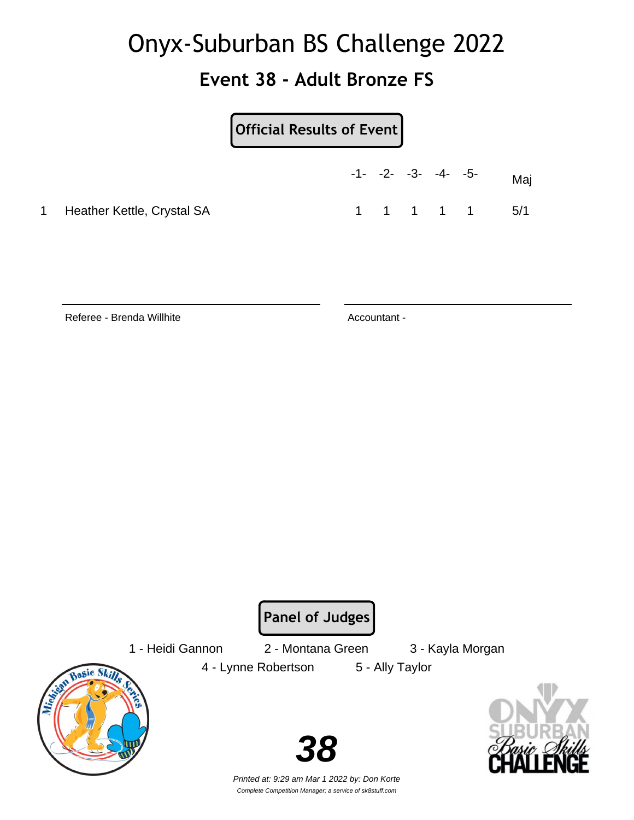### **Event 38 - Adult Bronze FS**

#### **Official Results of Event**

|                              | $-1$ - $-2$ - $-3$ - $-4$ - $-5$ - |  |           | Maj |
|------------------------------|------------------------------------|--|-----------|-----|
| 1 Heather Kettle, Crystal SA |                                    |  | 1 1 1 1 1 | 5/1 |

Referee - Brenda Willhite **Accountant - Accountant -**

**Panel of Judges**

1 - Heidi Gannon 2 - Montana Green 3 - Kayla Morgan

**Aasic Sk** 

4 - Lynne Robertson 5 - Ally Taylor



Printed at: 9:29 am Mar 1 2022 by: Don Korte Complete Competition Manager; a service of sk8stuff.com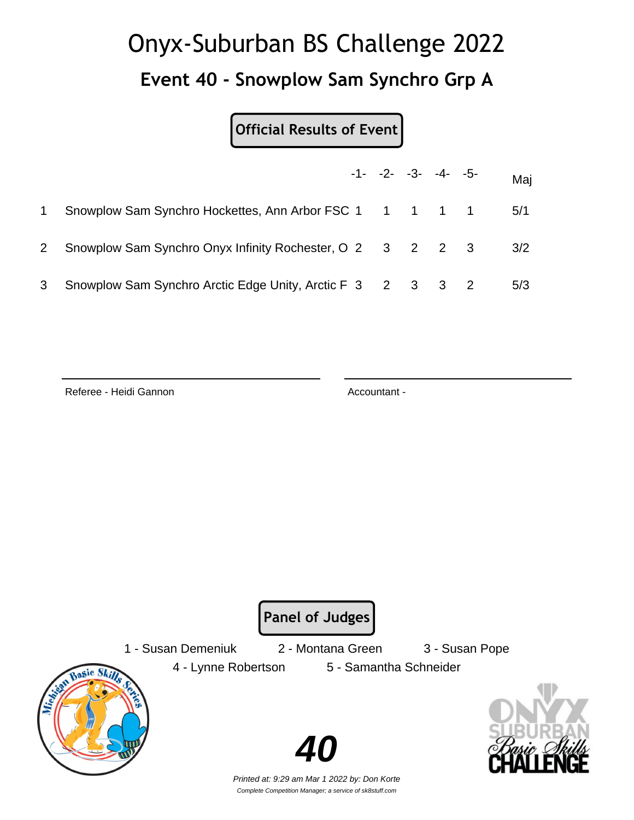# Onyx-Suburban BS Challenge 2022 **Event 40 - Snowplow Sam Synchro Grp A**

**Official Results of Event**

|              |                                                            |  | $-1 - -2 - -3 - -4 - -5$ | Maj |
|--------------|------------------------------------------------------------|--|--------------------------|-----|
|              | Snowplow Sam Synchro Hockettes, Ann Arbor FSC 1 1 1 1 1    |  |                          | 5/1 |
| $\mathbf{2}$ | Snowplow Sam Synchro Onyx Infinity Rochester, O 2 3 2 2 3  |  |                          | 3/2 |
| 3            | Snowplow Sam Synchro Arctic Edge Unity, Arctic F 3 2 3 3 2 |  |                          | 5/3 |

Referee - Heidi Gannon Accountant -

**Panel of Judges**

1 - Susan Demeniuk 2 - Montana Green 3 - Susan Pope

4 - Lynne Robertson 5 - Samantha Schneider



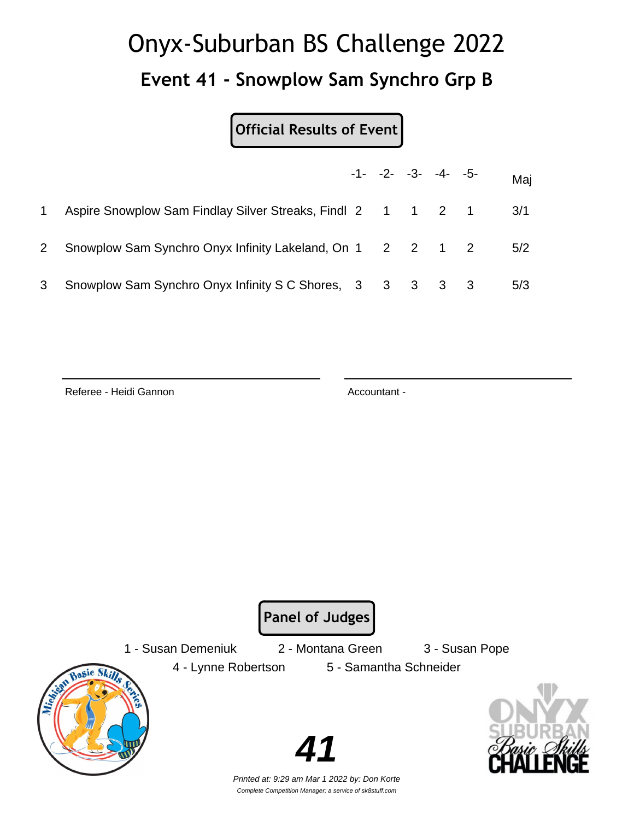# Onyx-Suburban BS Challenge 2022 **Event 41 - Snowplow Sam Synchro Grp B**

**Official Results of Event**

|                |                                                             |  | $-1 - 2 - 3 - 4 - 5$ | Maj |
|----------------|-------------------------------------------------------------|--|----------------------|-----|
|                | Aspire Snowplow Sam Findlay Silver Streaks, Findl 2 1 1 2 1 |  |                      | 3/1 |
| $\mathbf{2}^-$ | Snowplow Sam Synchro Onyx Infinity Lakeland, On 1 2 2 1 2   |  |                      | 5/2 |
| 3              | Snowplow Sam Synchro Onyx Infinity S C Shores, 3 3 3 3 3 3  |  |                      | 5/3 |

Referee - Heidi Gannon Accountant -

**Panel of Judges**

4 - Lynne Robertson 5 - Samantha Schneider

1 - Susan Demeniuk 2 - Montana Green 3 - Susan Pope

Basic Ski

**41**

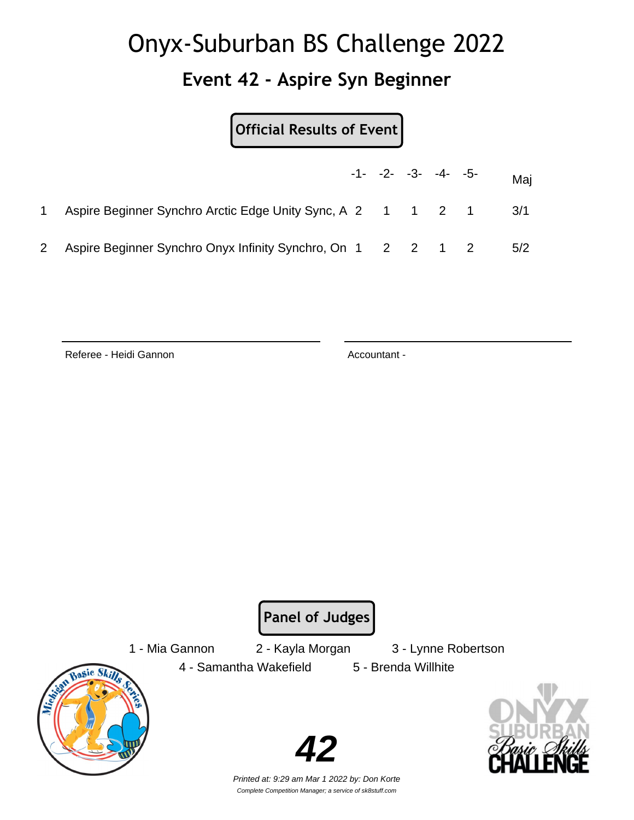### **Event 42 - Aspire Syn Beginner**

### **Official Results of Event**

|                |                                                                 |  | $-1 - -2 - -3 - -4 - -5$ | Mai |
|----------------|-----------------------------------------------------------------|--|--------------------------|-----|
|                | Aspire Beginner Synchro Arctic Edge Unity Sync, A 2 1 1 2 1 3/1 |  |                          |     |
| $\overline{2}$ | Aspire Beginner Synchro Onyx Infinity Synchro, On 1 2 2 1 2     |  |                          | 5/2 |

Referee - Heidi Gannon Accountant -

**Panel of Judges**

1 - Mia Gannon 2 - Kayla Morgan 3 - Lynne Robertson

4 - Samantha Wakefield 5 - Brenda Willhite



**42**